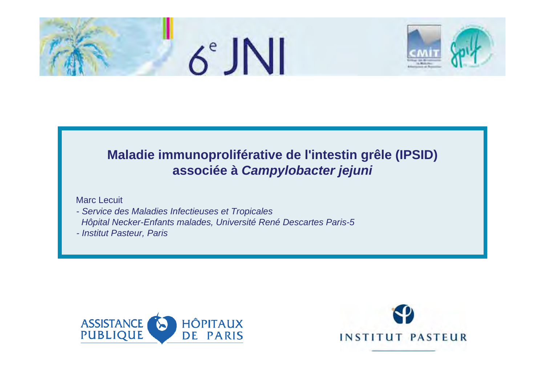



### **Maladie immunoproliférative de l'intestin grêle (IPSID) associée à** *Campylobacter jejuni*

Marc Lecuit

- *Service des Maladies Infectieuses et Tropicales Hôpital Necker-Enfants malades, Université René Descartes Paris-5*
- *- Institut Pasteur, Paris*



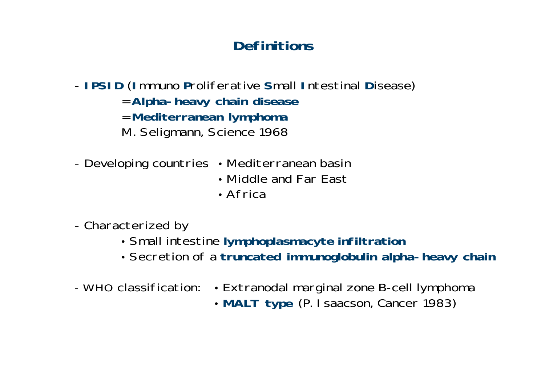# **Definitions**

- **IPSID** (**I**mmuno **P**roliferative **S**mall **I**ntestinal **D**isease)
	- <sup>=</sup>**Alpha-heavy chain disease**
	- <sup>=</sup>**Mediterranean lymphoma**
	- M. Seligmann, Science 1968
- -Developing countries • Mediterranean basin
	- Middle and Far East
	- Africa
- - Characterized by
	- y Small intestine **lymphoplasmacyte infiltration**
	- y Secretion of a **truncated immunoglobulin alpha-heavy chain**
- WHO classification: • Extranodal marginal zone B-cell lymphoma
	- y **MALT type** (P. Isaacson, Cancer 1983)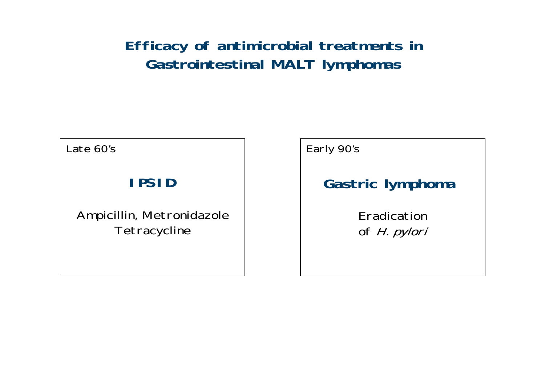# **Efficacy of antimicrobial treatments in Gastrointestinal MALT lymphomas**

Late 60's

## **IPSID**

Ampicillin, Metronidazole **Tetracycline** 

Early 90's

# **Gastric lymphoma**

Eradication of *H. pylori*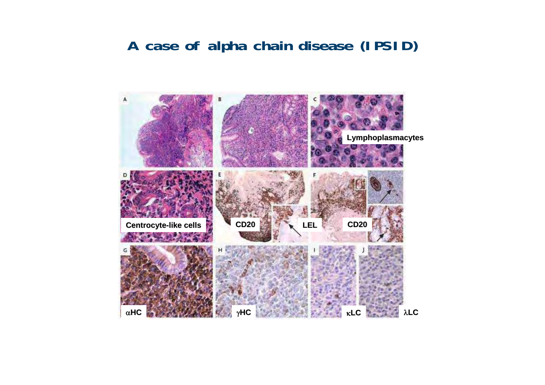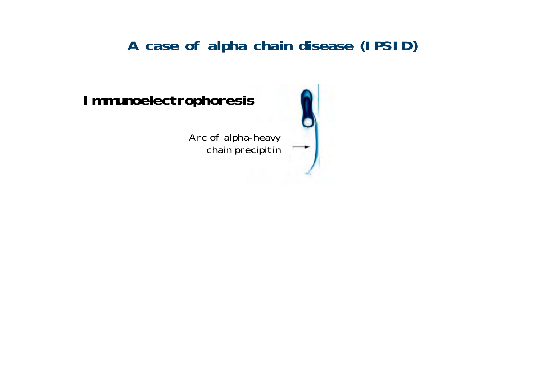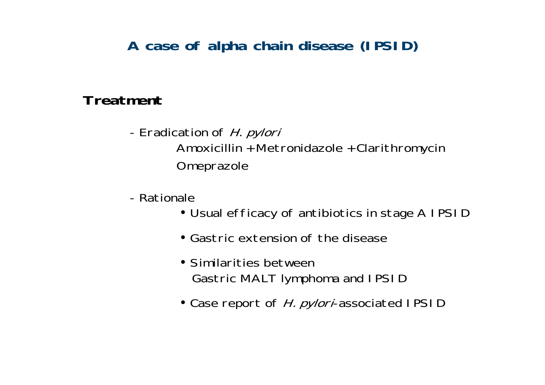### **Treatment**

- Eradication of H. *pylori* Amoxicillin + Metronidazole + Clarithromycin Omeprazole
- Rationale
	- Usual efficacy of antibiotics in stage A IPSID
	- $\bullet$  Gastric extension of the disease
	- Similarities between Gastric MALT lymphoma and IPSID
	- Case report of *H. pylori*-associated IPSID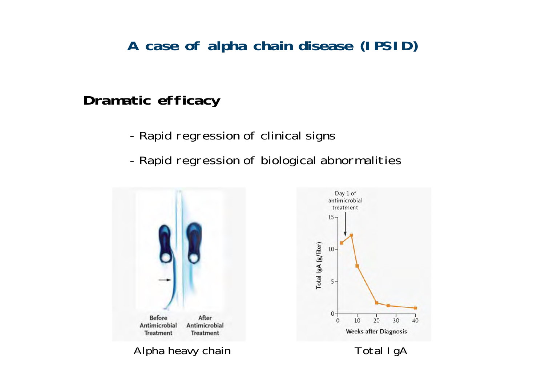### **Dramatic efficacy**

- Rapid regression of clinical signs
- Rapid regression of biological abnormalities

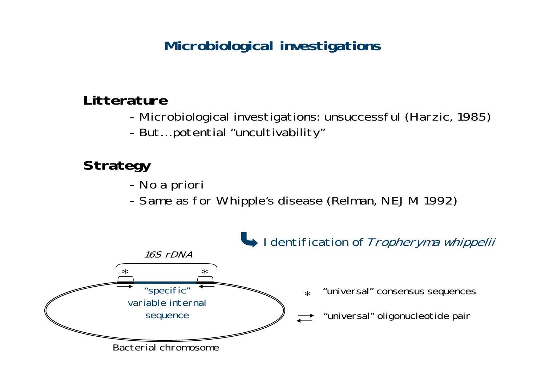### **Litterature**

- Microbiological investigations: unsuccessful (Harzic, 1985)
- But… potential "uncultivability"

# **Strategy**

- No a priori
- -Same as for Whipple's disease (Relman, NEJM 1992)

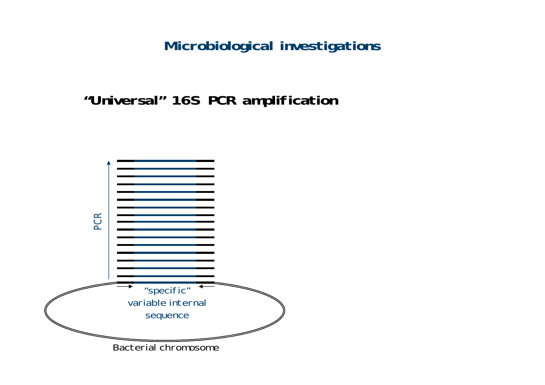**"Universal" 16S PCR amplification**

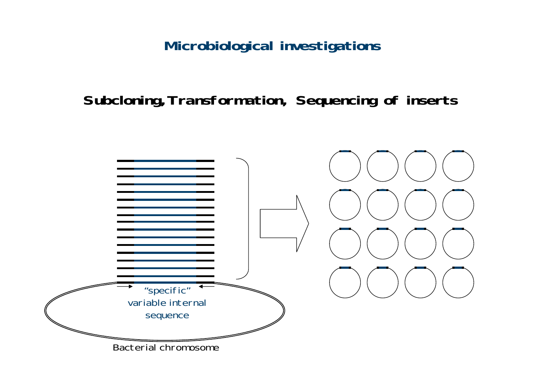**Subcloning,Transformation, Sequencing of inserts**

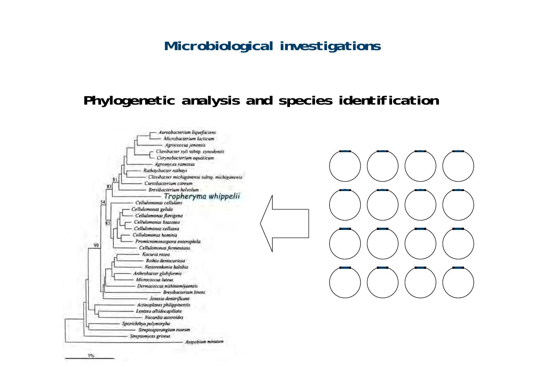### **Phylogenetic analysis and species identification**



 $5%$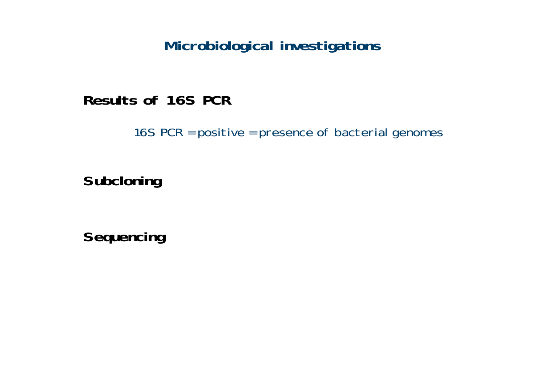**Results of 16S PCR**

16S PCR = positive = presence of bacterial genomes

**Subcloning**

**Sequencing**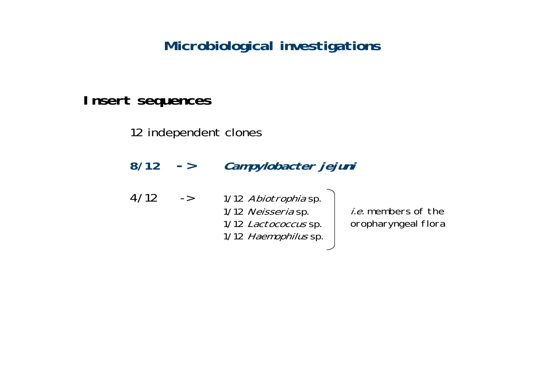### **Insert sequences**

12 independent clones

| 8/12 | $\rightarrow$ | Campylobacter jejuni                                                                       |                                                   |  |  |
|------|---------------|--------------------------------------------------------------------------------------------|---------------------------------------------------|--|--|
| 4/12 | $\rightarrow$ | 1/12 Abiotrophia sp.<br>1/12 Neisseria sp.<br>1/12 Lactococcus sp.<br>1/12 Haemophilus sp. | <i>i.e.</i> members of the<br>oropharyngeal flora |  |  |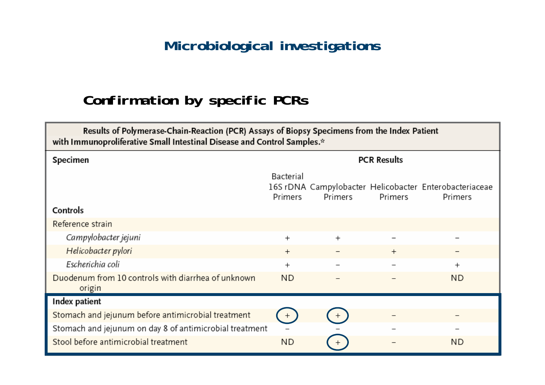# **Confirmation by specific PCRs**

| Results of Polymerase-Chain-Reaction (PCR) Assays of Biopsy Specimens from the Index Patient<br>with Immunoproliferative Small Intestinal Disease and Control Samples.* |                      |         |         |                                                                   |  |  |  |  |
|-------------------------------------------------------------------------------------------------------------------------------------------------------------------------|----------------------|---------|---------|-------------------------------------------------------------------|--|--|--|--|
| Specimen                                                                                                                                                                | <b>PCR Results</b>   |         |         |                                                                   |  |  |  |  |
|                                                                                                                                                                         | Bacterial<br>Primers | Primers | Primers | 16S rDNA Campylobacter Helicobacter Enterobacteriaceae<br>Primers |  |  |  |  |
| Controls                                                                                                                                                                |                      |         |         |                                                                   |  |  |  |  |
| Reference strain                                                                                                                                                        |                      |         |         |                                                                   |  |  |  |  |
| Campylobacter jejuni                                                                                                                                                    | $^{+}$               | $^{+}$  |         |                                                                   |  |  |  |  |
| Helicobacter pylori                                                                                                                                                     | $^{+}$               |         | $^{+}$  |                                                                   |  |  |  |  |
| Escherichia coli                                                                                                                                                        | $^{+}$               |         |         | $^{+}$                                                            |  |  |  |  |
| Duodenum from 10 controls with diarrhea of unknown<br>origin                                                                                                            | <b>ND</b>            |         |         | ΝD                                                                |  |  |  |  |
| Index patient                                                                                                                                                           |                      |         |         |                                                                   |  |  |  |  |
| Stomach and jejunum before antimicrobial treatment                                                                                                                      | $+$                  |         |         |                                                                   |  |  |  |  |
| Stomach and jejunum on day 8 of antimicrobial treatment                                                                                                                 |                      |         |         |                                                                   |  |  |  |  |
| Stool before antimicrobial treatment                                                                                                                                    | <b>ND</b>            |         |         | ΝD                                                                |  |  |  |  |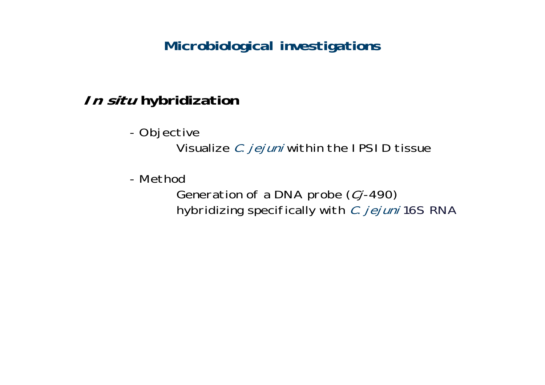# **In situ hybridization**

 Objective Visualize C. jejuni within the IPSID tissue

- Method

Generation of a DNA probe (Cj-490) hybridizing specifically with C. jejuni 16S RNA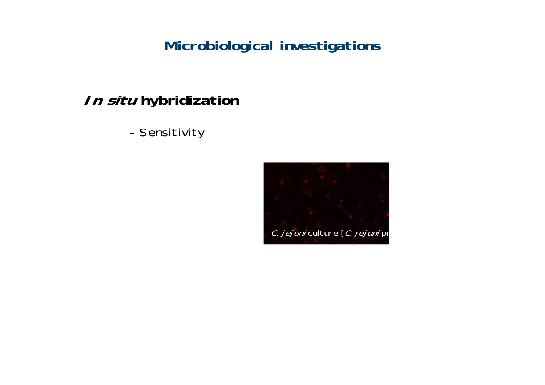# **In situ hybridization**

Sensitivity

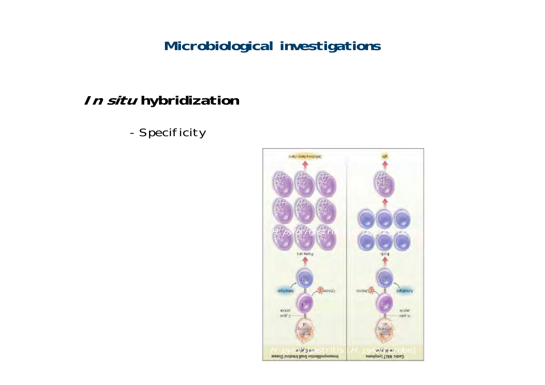# **In situ hybridization**

Specificity

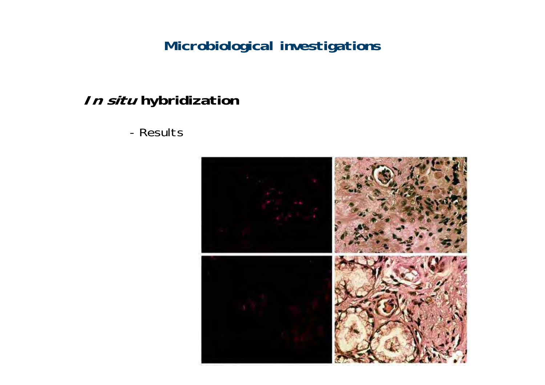# **In situ hybridization**

### - Results

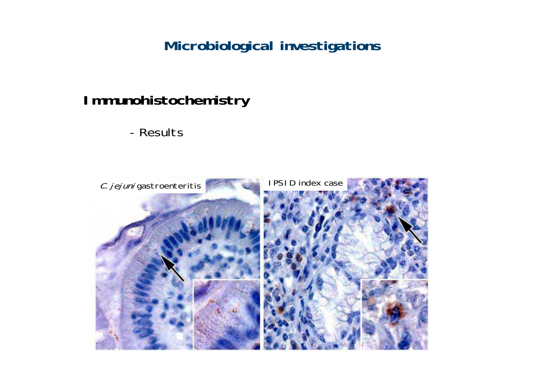## **Immunohistochemistry**

- Results

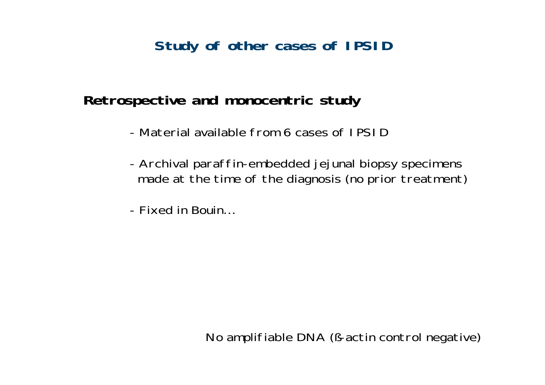## **Study of other cases of IPSID**

### **Retrospective and monocentric study**

- Material available from 6 cases of IPSI D
- Archival paraffin-embedded jejunal biopsy specimens made at the time of the diagnosis (no prior treatment)
- Fixed in Bouin…

No amplifiable DNA (ß-actin control negative)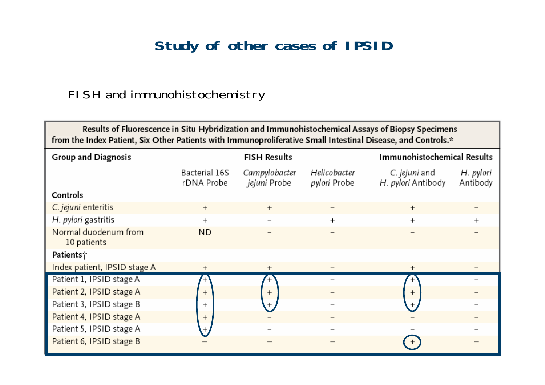## **Study of other cases of IPSID**

### FISH and immunohistochemistry

| Results of Fluorescence in Situ Hybridization and Immunohistochemical Assays of Biopsy Specimens<br>from the Index Patient, Six Other Patients with Immunoproliferative Small Intestinal Disease, and Controls.* |                             |                                      |                              |                                     |                       |  |  |  |  |
|------------------------------------------------------------------------------------------------------------------------------------------------------------------------------------------------------------------|-----------------------------|--------------------------------------|------------------------------|-------------------------------------|-----------------------|--|--|--|--|
| <b>Group and Diagnosis</b>                                                                                                                                                                                       | <b>FISH Results</b>         |                                      |                              | Immunohistochemical Results         |                       |  |  |  |  |
|                                                                                                                                                                                                                  | Bacterial 16S<br>rDNA Probe | Campylobacter<br><i>jejuni</i> Probe | Helicobacter<br>pylori Probe | C. jejuni and<br>H. pylori Antibody | H. pylori<br>Antibody |  |  |  |  |
| Controls                                                                                                                                                                                                         |                             |                                      |                              |                                     |                       |  |  |  |  |
| C. jejuni enteritis                                                                                                                                                                                              | $^{+}$                      | $^{+}$                               |                              | $^{+}$                              |                       |  |  |  |  |
| H. pylori gastritis                                                                                                                                                                                              | $^{+}$                      |                                      | $^{+}$                       | $^{+}$                              |                       |  |  |  |  |
| Normal duodenum from<br>10 patients                                                                                                                                                                              | <b>ND</b>                   |                                      |                              |                                     |                       |  |  |  |  |
| Patients†                                                                                                                                                                                                        |                             |                                      |                              |                                     |                       |  |  |  |  |
| Index patient, IPSID stage A                                                                                                                                                                                     | $^+$                        | $^{+}$                               |                              | $^+$                                |                       |  |  |  |  |
| Patient 1, IPSID stage A                                                                                                                                                                                         | $^+$                        | $^{+}$                               |                              | $^{+}$                              |                       |  |  |  |  |
| Patient 2, IPSID stage A                                                                                                                                                                                         | $^{+}$                      | $^{+}$                               |                              | $^{+}$                              |                       |  |  |  |  |
| Patient 3, IPSID stage B                                                                                                                                                                                         | $\overline{+}$              |                                      |                              |                                     |                       |  |  |  |  |
| Patient 4, IPSID stage A                                                                                                                                                                                         | $^{+}$                      |                                      |                              |                                     |                       |  |  |  |  |
| Patient 5, IPSID stage A                                                                                                                                                                                         |                             |                                      |                              |                                     |                       |  |  |  |  |
| Patient 6, IPSID stage B                                                                                                                                                                                         |                             |                                      |                              |                                     |                       |  |  |  |  |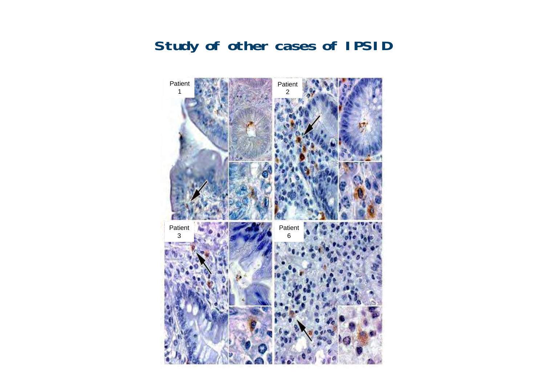## **Study of other cases of IPSID**

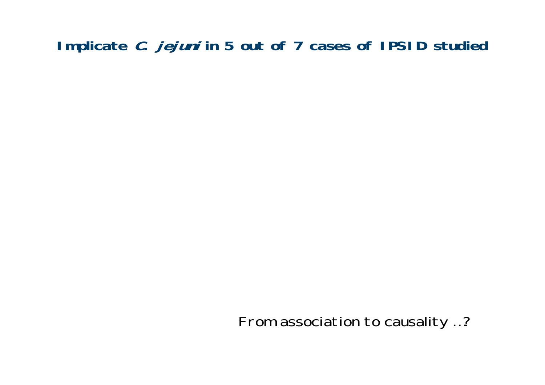# **Implicate C. jejuni in 5 out of 7 cases of IPSID studied**

From association to causality …?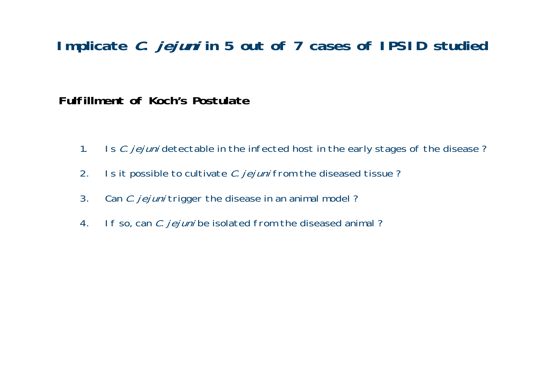### **Implicate C. jejuni in 5 out of 7 cases of IPSID studied**

**Fulfillment of Koch's Postulate**

- 1. Is C. jejuni detectable in the infected host in the early stages of the disease?
- 2. Is it possible to cultivate *C. jejuni* from the diseased tissue?
- 3. Can *C. jejuni* trigger the disease in an animal model?
- 4. If so, can *C. jejuni* be isolated from the diseased animal?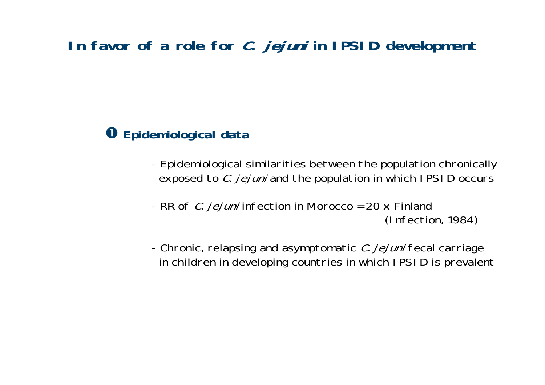### $\bullet$  Epidemiological data

- Epidemiological similarities between the population chronically exposed to *C. jejuni* and the population in which IPSID occurs
- RR of *C. jejuni* infection in Morocco = 20 x Finland (Infection, 1984)
- Chronic, relapsing and asymptomatic *C. jejuni* fecal carriage in children in developing countries in which IPSID is prevalent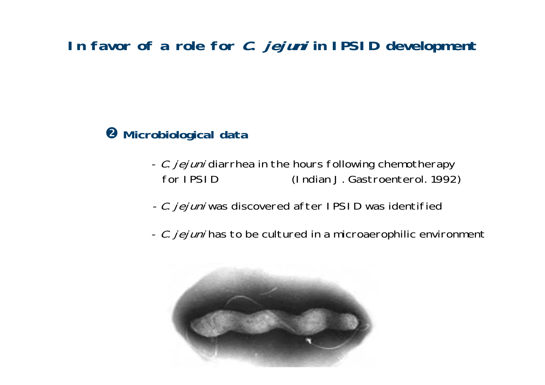**<sup>2</sup>** Microbiological data

- *C. jejuni* diarrhea in the hours following chemotherapy for IPSID (Indian J. Gastroenterol. 1992)
- *C. jejuni* was discovered after IPSID was identified
- *C. jejuni* has to be cultured in a microaerophilic environment

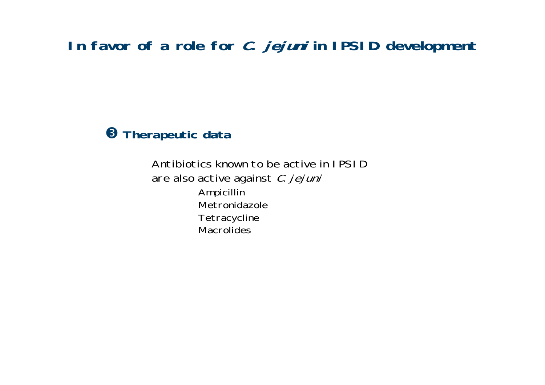#### **8 Therapeutic data**

Antibiotics known to be active in IPSIDare also active against C. jejuni Ampicillin Metronidazole**Tetracycline Macrolides**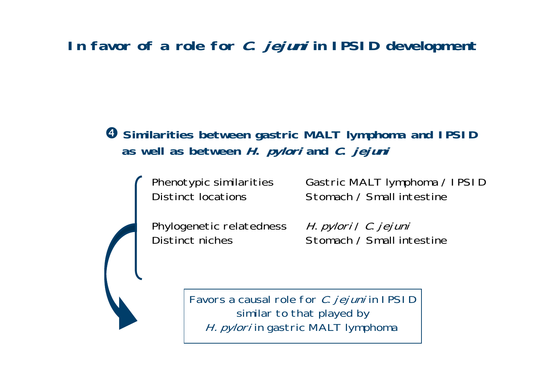### $\bullet$  **Similarities between gastric MALT lymphoma and IPSID as well as between H. pylori and C. jejuni**

Phenotypic similarities Gastric MALT lymphoma / IPSID Distinct locations Stomach / Small intestine

Phylogenetic relatedness

H. pylori / C. jejuni Distinct niches Stomach / Small intestine

> Favors a causal role for *C. jejuni* in IPSI D similar to that played by H. pylori in gastric MALT lymphoma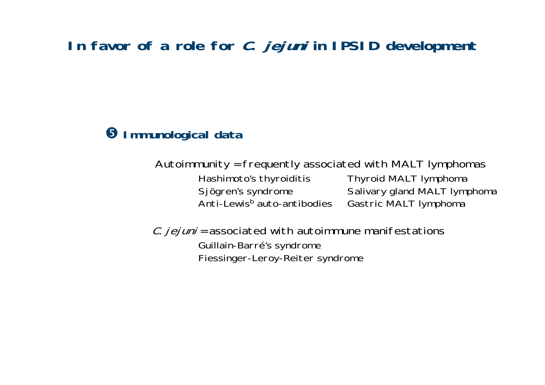#### $\Theta$  **Immunological data**

Autoimmunity = frequently associated with MALT lymphomas

Hashimoto's thyroiditis Thyroid MALT lymphoma Anti-Lewis<sup>b</sup> auto-antibodies Gastric MALT lymphoma

Sjögren's syndrome Salivary gland MALT lymphoma

 $C.$  jejuni = associated with autoimmune manifestations Guillain-Barré's syndrome Fiessinger-Leroy-Reiter syndrome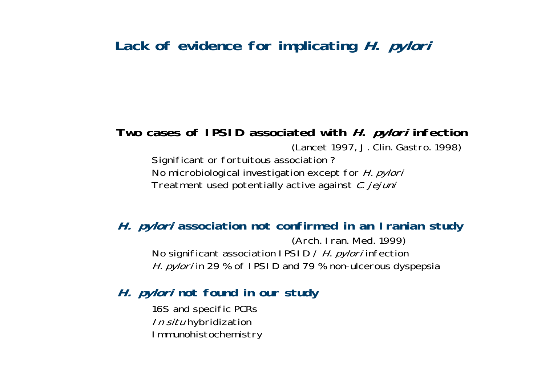### **Lack of evidence for implicating H. pylori**

## **Two cases of IPSID associated with H. pylori infection**

(Lancet 1997, J. Clin. Gastro. 1998)

Significant or fortuitous association ? No microbiological investigation except for H. pylori Treatment used potentially active against *C. jejuni* 

#### **H. pylori association not confirmed in an Iranian study**

(Arch. Iran. Med. 1999) No significant association IPSID / *H. pylori* infection H. *pylori* in 29 % of IPSID and 79 % non-ulcerous dyspepsia

#### **H. pylori not found in our study**

16S and specific PCRs In situ hybridization Immunohistochemistry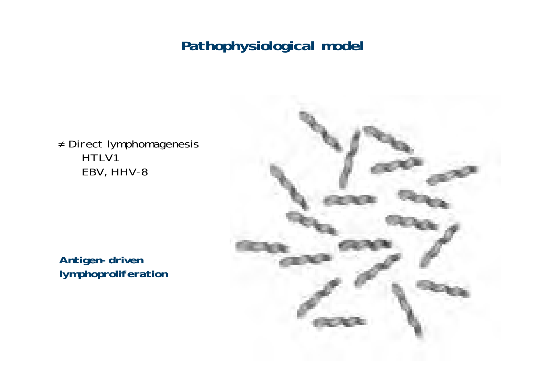≠ Direct lymphomagenesis HTLV1 EBV, HHV-8

**Antigen-driven lymphoproliferation**

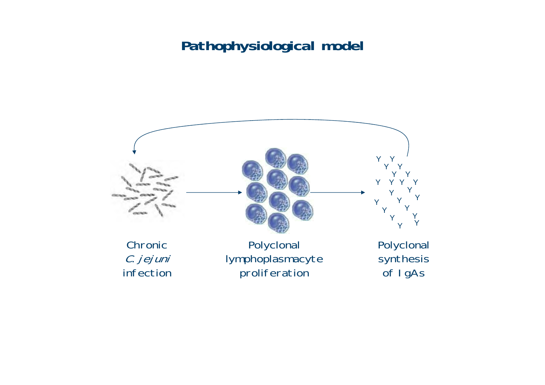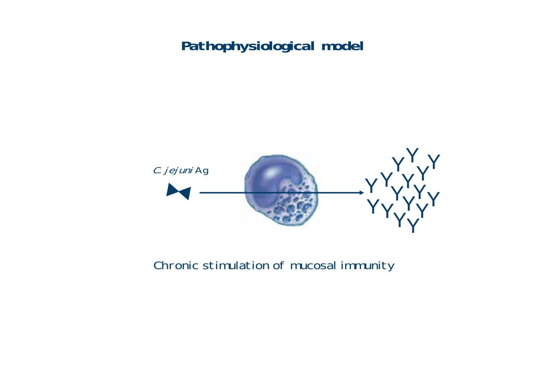

Chronic stimulation of mucosal immunity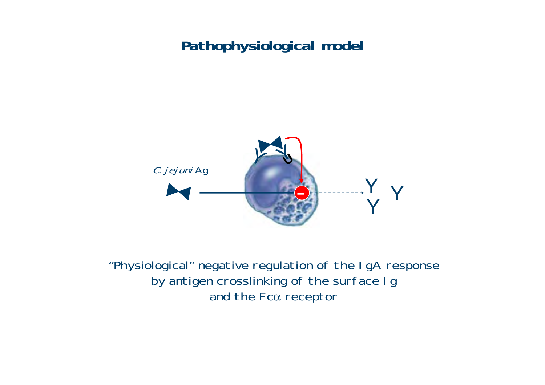

"Physiological" negative regulation of the IgA response by antigen crosslinking of the surface Ig and the Fc $\alpha$  receptor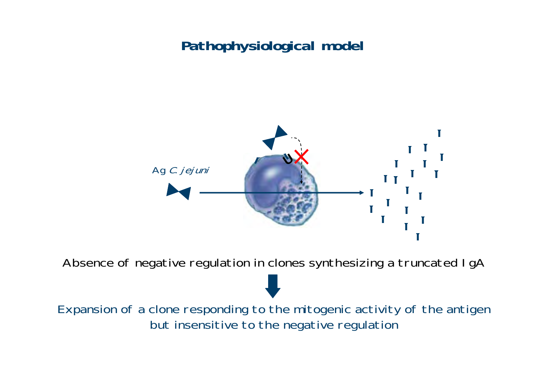

Absence of negative regulation in clones synthesizing a truncated IgA

Expansion of a clone responding to the mitogenic activity of the antigen but insensitive to the negative regulation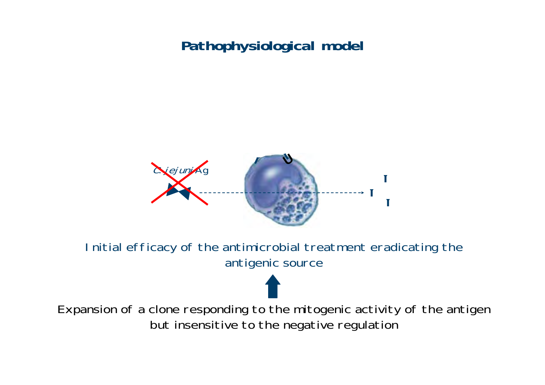

Initial efficacy of the antimicrobial treatment eradicating the antigenic source

Expansion of a clone responding to the mitogenic activity of the antigen but insensitive to the negative regulation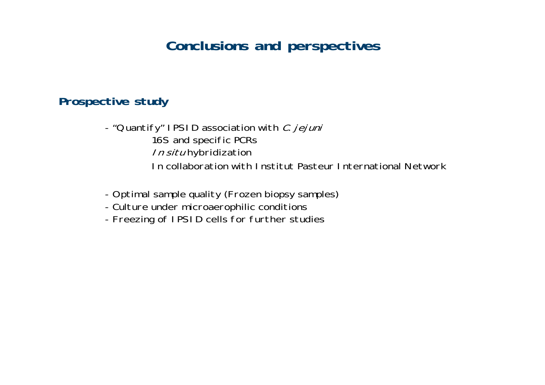### **Conclusions and perspectives**

#### **Prospective study**

- "Quantify" IPSID association with *C. jejuni* 16S and specific PCRs In situ hybridization In collaboration with Institut Pasteur International Network

- Optimal sample quality (Frozen biopsy samples)
- Culture under microaerophilic conditions
- Freezing of IPSID cells for further studies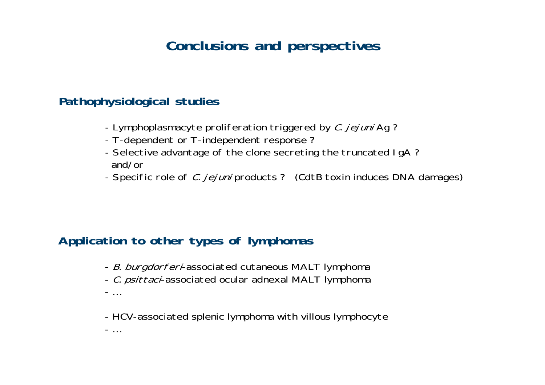## **Conclusions and perspectives**

#### **Pathophysiological studies**

- Lymphoplasmacyte proliferation triggered by *C. jejuni* Ag ?
- T-dependent or T-independent response ?
- Selective advantage of the clone secreting the truncated IgA ? and/or
- Specific role of *C. jejuni* products ? (CdtB toxin induces DNA damages)

#### **Application to other types of lymphomas**

- *B. burgdorferi*-associated cutaneous MALT lymphoma
- *C. psittaci*-associated ocular adnexal MALT lymphoma
- …
- HCV-associated splenic lymphoma with villous lymphocyte
- …